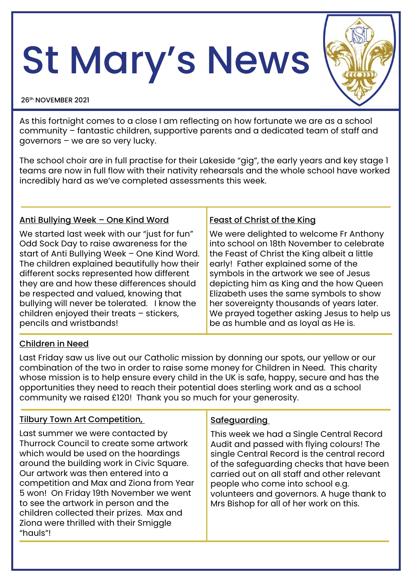# St Mary's News

#### 26th NOVEMBER 2021

As this fortnight comes to a close I am reflecting on how fortunate we are as a school community – fantastic children, supportive parents and a dedicated team of staff and governors – we are so very lucky.

The school choir are in full practise for their Lakeside "gig", the early years and key stage 1 teams are now in full flow with their nativity rehearsals and the whole school have worked incredibly hard as we've completed assessments this week.

## Anti Bullying Week – One Kind Word

We started last week with our "just for fun" Odd Sock Day to raise awareness for the start of Anti Bullying Week – One Kind Word. The children explained beautifully how their different socks represented how different they are and how these differences should be respected and valued, knowing that bullying will never be tolerated. I know the children enjoyed their treats – stickers, pencils and wristbands!

### Feast of Christ of the King

We were delighted to welcome Fr Anthony into school on 18th November to celebrate the Feast of Christ the King albeit a little early! Father explained some of the symbols in the artwork we see of Jesus depicting him as King and the how Queen Elizabeth uses the same symbols to show her sovereignty thousands of years later. We prayed together asking Jesus to help us be as humble and as loyal as He is.

# Children in Need

Last Friday saw us live out our Catholic mission by donning our spots, our yellow or our combination of the two in order to raise some money for Children in Need. This charity whose mission is to help ensure every child in the UK is safe, happy, secure and has the opportunities they need to reach their potential does sterling work and as a school community we raised £120! Thank you so much for your generosity.

### Tilbury Town Art Competition,

Last summer we were contacted by Thurrock Council to create some artwork which would be used on the hoardings around the building work in Civic Square. Our artwork was then entered into a competition and Max and Ziona from Year 5 won! On Friday 19th November we went to see the artwork in person and the children collected their prizes. Max and Ziona were thrilled with their Smiggle "hauls"!

# **Safeguarding**

This week we had a Single Central Record Audit and passed with flying colours! The single Central Record is the central record of the safeguarding checks that have been carried out on all staff and other relevant people who come into school e.g. volunteers and governors. A huge thank to Mrs Bishop for all of her work on this.